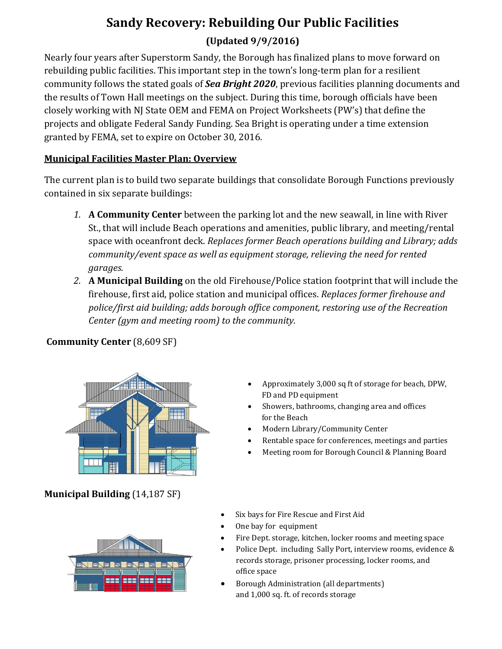# **Sandy Recovery: Rebuilding Our Public Facilities**

## **(Updated 9/9/2016)**

Nearly four years after Superstorm Sandy, the Borough has finalized plans to move forward on rebuilding public facilities. This important step in the town's long-term plan for a resilient community follows the stated goals of *Sea Bright 2020*, previous facilities planning documents and the results of Town Hall meetings on the subject. During this time, borough officials have been closely working with NJ State OEM and FEMA on Project Worksheets (PW's) that define the projects and obligate Federal Sandy Funding. Sea Bright is operating under a time extension granted by FEMA, set to expire on October 30, 2016.

## **Municipal Facilities Master Plan: Overview**

The current plan is to build two separate buildings that consolidate Borough Functions previously contained in six separate buildings:

- *1.* **A Community Center** between the parking lot and the new seawall, in line with River St., that will include Beach operations and amenities, public library, and meeting/rental space with oceanfront deck. *Replaces former Beach operations building and Library; adds community/event space as well as equipment storage, relieving the need for rented garages.*
- *2.* **A Municipal Building** on the old Firehouse/Police station footprint that will include the firehouse, first aid, police station and municipal offices. *Replaces former firehouse and police/first aid building; adds borough office component, restoring use of the Recreation Center (gym and meeting room) to the community.*



## **Community Center** (8,609 SF)

- Approximately 3,000 sq ft of storage for beach, DPW, FD and PD equipment
- Showers, bathrooms, changing area and offices for the Beach
- Modern Library/Community Center
- Rentable space for conferences, meetings and parties
- Meeting room for Borough Council & Planning Board

**Municipal Building** (14,187 SF)



- Six bays for Fire Rescue and First Aid
- One bay for equipment
- Fire Dept. storage, kitchen, locker rooms and meeting space
- Police Dept. including Sally Port, interview rooms, evidence & records storage, prisoner processing, locker rooms, and office space
- Borough Administration (all departments) and 1,000 sq. ft. of records storage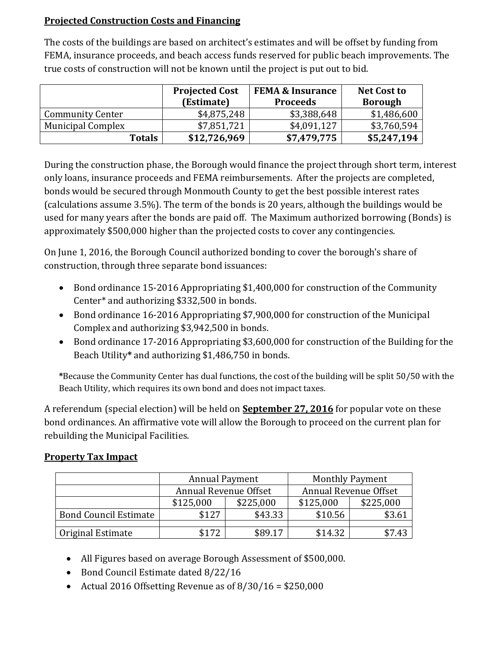## **Projected Construction Costs and Financing**

The costs of the buildings are based on architect's estimates and will be offset by funding from FEMA, insurance proceeds, and beach access funds reserved for public beach improvements. The true costs of construction will not be known until the project is put out to bid.

|                          | <b>Projected Cost</b><br>(Estimate) | <b>FEMA &amp; Insurance</b><br><b>Proceeds</b> | <b>Net Cost to</b><br><b>Borough</b> |
|--------------------------|-------------------------------------|------------------------------------------------|--------------------------------------|
| <b>Community Center</b>  | \$4,875,248                         | \$3,388,648                                    | \$1,486,600                          |
| <b>Municipal Complex</b> | \$7,851,721                         | \$4,091,127                                    | \$3,760,594                          |
| <b>Totals</b>            | \$12,726,969                        | \$7,479,775                                    | \$5,247,194                          |

During the construction phase, the Borough would finance the project through short term, interest only loans, insurance proceeds and FEMA reimbursements. After the projects are completed, bonds would be secured through Monmouth County to get the best possible interest rates (calculations assume 3.5%). The term of the bonds is 20 years, although the buildings would be used for many years after the bonds are paid off. The Maximum authorized borrowing (Bonds) is approximately \$500,000 higher than the projected costs to cover any contingencies.

On June 1, 2016, the Borough Council authorized bonding to cover the borough's share of construction, through three separate bond issuances:

- Bond ordinance 15-2016 Appropriating \$1,400,000 for construction of the Community Center\* and authorizing \$332,500 in bonds.
- Bond ordinance 16-2016 Appropriating \$7,900,000 for construction of the Municipal Complex and authorizing \$3,942,500 in bonds.
- Bond ordinance 17-2016 Appropriating \$3,600,000 for construction of the Building for the Beach Utility**\*** and authorizing \$1,486,750 in bonds.

**\***Because the Community Center has dual functions, the cost of the building will be split 50/50 with the Beach Utility, which requires its own bond and does not impact taxes.

A referendum (special election) will be held on **September 27, 2016** for popular vote on these bond ordinances. An affirmative vote will allow the Borough to proceed on the current plan for rebuilding the Municipal Facilities.

## **Property Tax Impact**

|                              | <b>Annual Payment</b> |           | <b>Monthly Payment</b> |           |
|------------------------------|-----------------------|-----------|------------------------|-----------|
|                              | Annual Revenue Offset |           | Annual Revenue Offset  |           |
|                              | \$125,000             | \$225,000 | \$125,000              | \$225,000 |
| <b>Bond Council Estimate</b> | \$127                 | \$43.33   | \$10.56                | \$3.61    |
|                              |                       |           |                        |           |
| Original Estimate            | \$172                 | \$89.17   | \$14.32                | \$7.43    |

- All Figures based on average Borough Assessment of \$500,000.
- Bond Council Estimate dated 8/22/16
- Actual 2016 Offsetting Revenue as of  $8/30/16 = $250,000$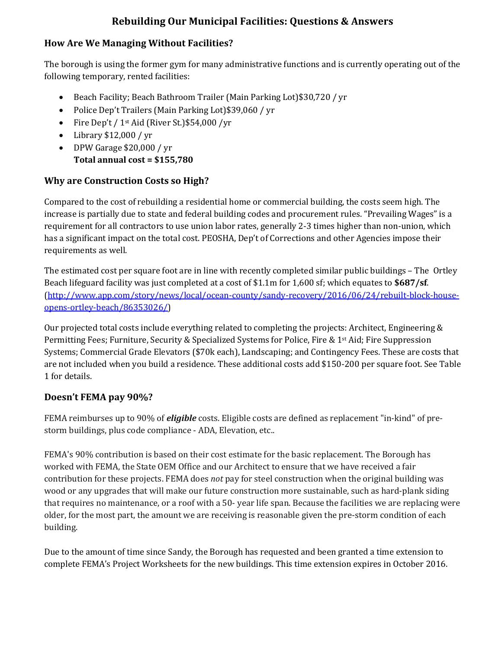## **Rebuilding Our Municipal Facilities: Questions & Answers**

#### **How Are We Managing Without Facilities?**

The borough is using the former gym for many administrative functions and is currently operating out of the following temporary, rented facilities:

- Beach Facility; Beach Bathroom Trailer (Main Parking Lot)\$30,720 / yr
- Police Dep't Trailers (Main Parking Lot)\$39,060 / yr
- Fire Dep't / 1<sup>st</sup> Aid (River St.) \$54,000 / yr
- Library \$12,000 / yr
- DPW Garage \$20,000 / yr **Total annual cost = \$155,780**

## **Why are Construction Costs so High?**

Compared to the cost of rebuilding a residential home or commercial building, the costs seem high. The increase is partially due to state and federal building codes and procurement rules. "Prevailing Wages" is a requirement for all contractors to use union labor rates, generally 2-3 times higher than non-union, which has a significant impact on the total cost. PEOSHA, Dep't of Corrections and other Agencies impose their requirements as well.

The estimated cost per square foot are in line with recently completed similar public buildings – The Ortley Beach lifeguard facility was just completed at a cost of \$1.1m for 1,600 sf; which equates to **\$687/sf**. [\(http://www.app.com/story/news/local/ocean-county/sandy-recovery/2016/06/24/rebuilt-block-house](http://www.app.com/story/news/local/ocean-county/sandy-recovery/2016/06/24/rebuilt-block-house-opens-ortley-beach/86353026/)[opens-ortley-beach/86353026/\)](http://www.app.com/story/news/local/ocean-county/sandy-recovery/2016/06/24/rebuilt-block-house-opens-ortley-beach/86353026/)

Our projected total costs include everything related to completing the projects: Architect, Engineering & Permitting Fees; Furniture, Security & Specialized Systems for Police, Fire & 1<sup>st</sup> Aid; Fire Suppression Systems; Commercial Grade Elevators (\$70k each), Landscaping; and Contingency Fees. These are costs that are not included when you build a residence. These additional costs add \$150-200 per square foot. See Table 1 for details.

#### **Doesn't FEMA pay 90%?**

FEMA reimburses up to 90% of *eligible* costs. Eligible costs are defined as replacement "in-kind" of prestorm buildings, plus code compliance - ADA, Elevation, etc..

FEMA's 90% contribution is based on their cost estimate for the basic replacement. The Borough has worked with FEMA, the State OEM Office and our Architect to ensure that we have received a fair contribution for these projects. FEMA does *not* pay for steel construction when the original building was wood or any upgrades that will make our future construction more sustainable, such as hard-plank siding that requires no maintenance, or a roof with a 50- year life span. Because the facilities we are replacing were older, for the most part, the amount we are receiving is reasonable given the pre-storm condition of each building.

Due to the amount of time since Sandy, the Borough has requested and been granted a time extension to complete FEMA's Project Worksheets for the new buildings. This time extension expires in October 2016.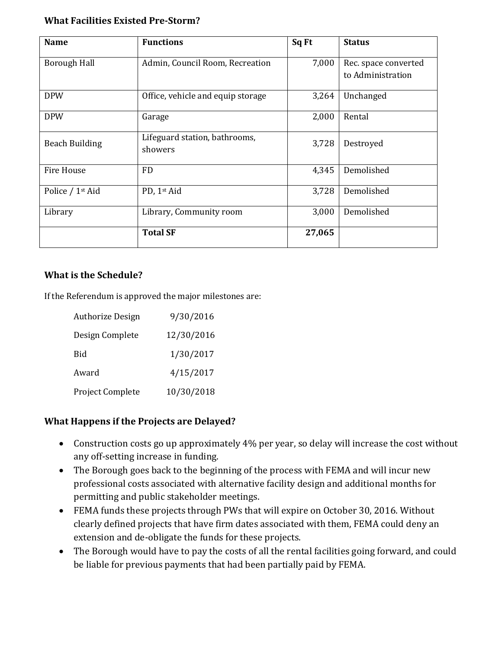#### **What Facilities Existed Pre-Storm?**

| <b>Name</b>                                            | <b>Functions</b>                         | Sq Ft  | <b>Status</b>                             |
|--------------------------------------------------------|------------------------------------------|--------|-------------------------------------------|
| <b>Borough Hall</b><br>Admin, Council Room, Recreation |                                          | 7,000  | Rec. space converted<br>to Administration |
| <b>DPW</b><br>Office, vehicle and equip storage        |                                          | 3,264  | Unchanged                                 |
| <b>DPW</b>                                             | 2,000<br>Garage                          |        | Rental                                    |
| <b>Beach Building</b>                                  | Lifeguard station, bathrooms,<br>showers | 3,728  | Destroyed                                 |
| <b>Fire House</b>                                      | <b>FD</b>                                | 4,345  | Demolished                                |
| Police / 1st Aid                                       | PD, 1st Aid                              | 3,728  | Demolished                                |
| Library<br>Library, Community room                     |                                          | 3,000  | Demolished                                |
|                                                        | <b>Total SF</b>                          | 27,065 |                                           |

#### **What is the Schedule?**

If the Referendum is approved the major milestones are:

| <b>Authorize Design</b> | 9/30/2016  |
|-------------------------|------------|
| Design Complete         | 12/30/2016 |
| <b>Bid</b>              | 1/30/2017  |
| Award                   | 4/15/2017  |
| Project Complete        | 10/30/2018 |

#### **What Happens if the Projects are Delayed?**

- Construction costs go up approximately 4% per year, so delay will increase the cost without any off-setting increase in funding.
- The Borough goes back to the beginning of the process with FEMA and will incur new professional costs associated with alternative facility design and additional months for permitting and public stakeholder meetings.
- FEMA funds these projects through PWs that will expire on October 30, 2016. Without clearly defined projects that have firm dates associated with them, FEMA could deny an extension and de-obligate the funds for these projects.
- The Borough would have to pay the costs of all the rental facilities going forward, and could be liable for previous payments that had been partially paid by FEMA.